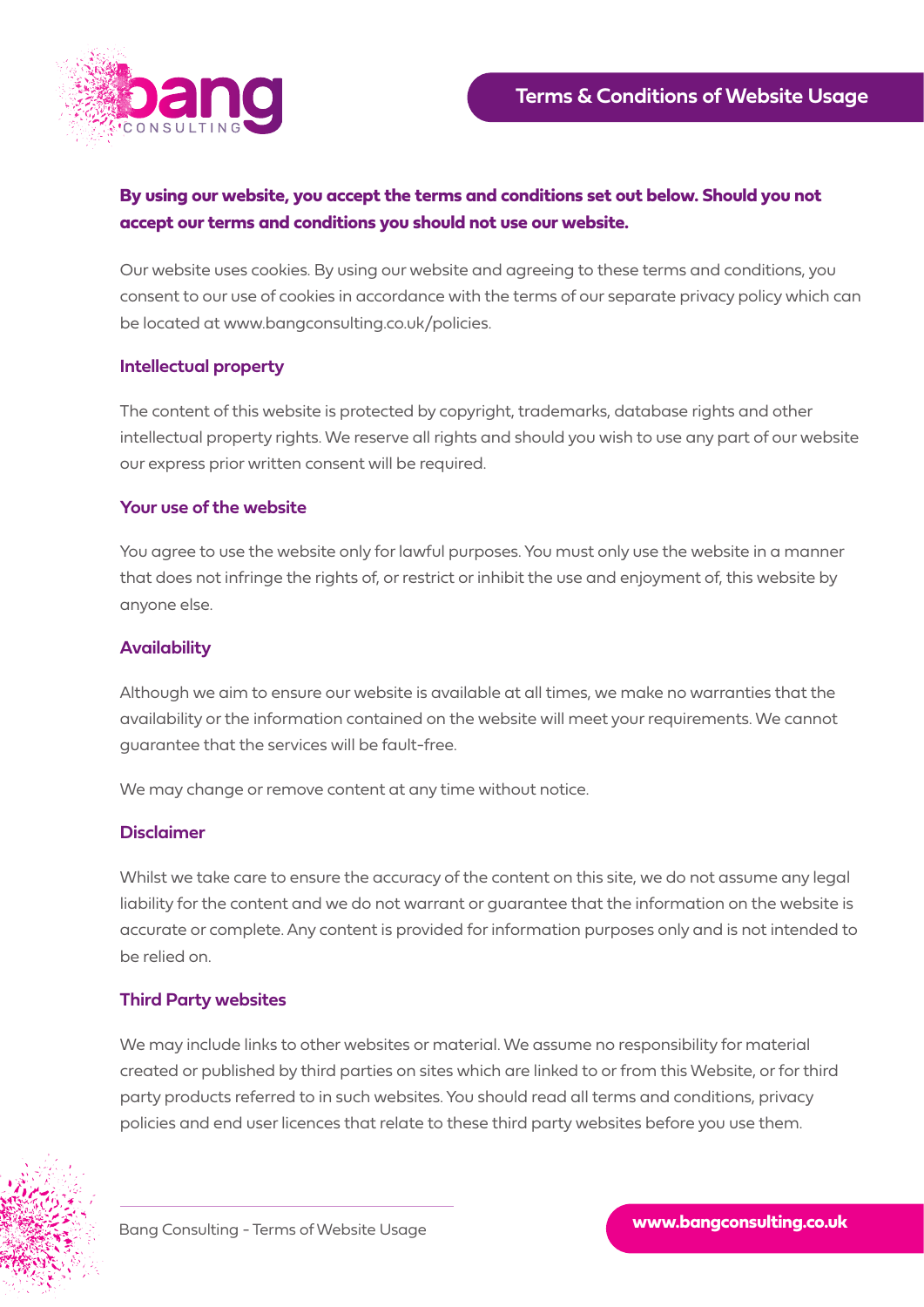

# **By using our website, you accept the terms and conditions set out below. Should you not accept our terms and conditions you should not use our website.**

Our website uses cookies. By using our website and agreeing to these terms and conditions, you consent to our use of cookies in accordance with the terms of our separate privacy policy which can be located at www.bangconsulting.co.uk/policies.

# **Intellectual property**

The content of this website is protected by copyright, trademarks, database rights and other intellectual property rights. We reserve all rights and should you wish to use any part of our website our express prior written consent will be required.

### **Your use of the website**

You agree to use the website only for lawful purposes. You must only use the website in a manner that does not infringe the rights of, or restrict or inhibit the use and enjoyment of, this website by anyone else.

## **Availability**

Although we aim to ensure our website is available at all times, we make no warranties that the availability or the information contained on the website will meet your requirements. We cannot guarantee that the services will be fault-free.

We may change or remove content at any time without notice.

#### **Disclaimer**

Whilst we take care to ensure the accuracy of the content on this site, we do not assume any legal liability for the content and we do not warrant or guarantee that the information on the website is accurate or complete. Any content is provided for information purposes only and is not intended to be relied on.

# **Third Party websites**

We may include links to other websites or material. We assume no responsibility for material created or published by third parties on sites which are linked to or from this Website, or for third party products referred to in such websites. You should read all terms and conditions, privacy policies and end user licences that relate to these third party websites before you use them.